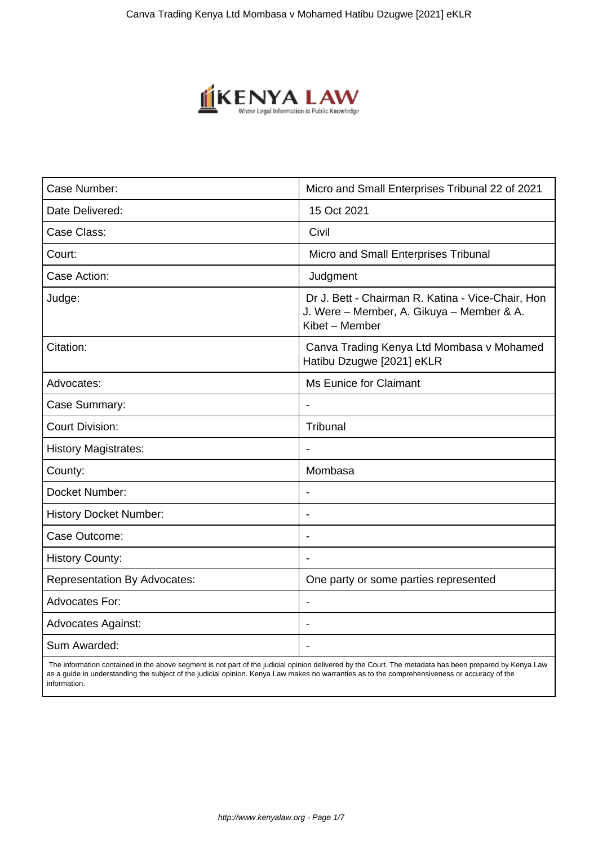

| Case Number:                        | Micro and Small Enterprises Tribunal 22 of 2021                                                                  |
|-------------------------------------|------------------------------------------------------------------------------------------------------------------|
| Date Delivered:                     | 15 Oct 2021                                                                                                      |
| Case Class:                         | Civil                                                                                                            |
| Court:                              | Micro and Small Enterprises Tribunal                                                                             |
| Case Action:                        | Judgment                                                                                                         |
| Judge:                              | Dr J. Bett - Chairman R. Katina - Vice-Chair, Hon<br>J. Were - Member, A. Gikuya - Member & A.<br>Kibet - Member |
| Citation:                           | Canva Trading Kenya Ltd Mombasa v Mohamed<br>Hatibu Dzugwe [2021] eKLR                                           |
| Advocates:                          | <b>Ms Eunice for Claimant</b>                                                                                    |
| Case Summary:                       |                                                                                                                  |
| <b>Court Division:</b>              | Tribunal                                                                                                         |
| <b>History Magistrates:</b>         | $\blacksquare$                                                                                                   |
| County:                             | Mombasa                                                                                                          |
| Docket Number:                      |                                                                                                                  |
| <b>History Docket Number:</b>       | $\overline{\phantom{a}}$                                                                                         |
| Case Outcome:                       |                                                                                                                  |
| <b>History County:</b>              |                                                                                                                  |
| <b>Representation By Advocates:</b> | One party or some parties represented                                                                            |
| <b>Advocates For:</b>               | $\overline{\phantom{a}}$                                                                                         |
| <b>Advocates Against:</b>           |                                                                                                                  |
| Sum Awarded:                        |                                                                                                                  |

 The information contained in the above segment is not part of the judicial opinion delivered by the Court. The metadata has been prepared by Kenya Law as a guide in understanding the subject of the judicial opinion. Kenya Law makes no warranties as to the comprehensiveness or accuracy of the information.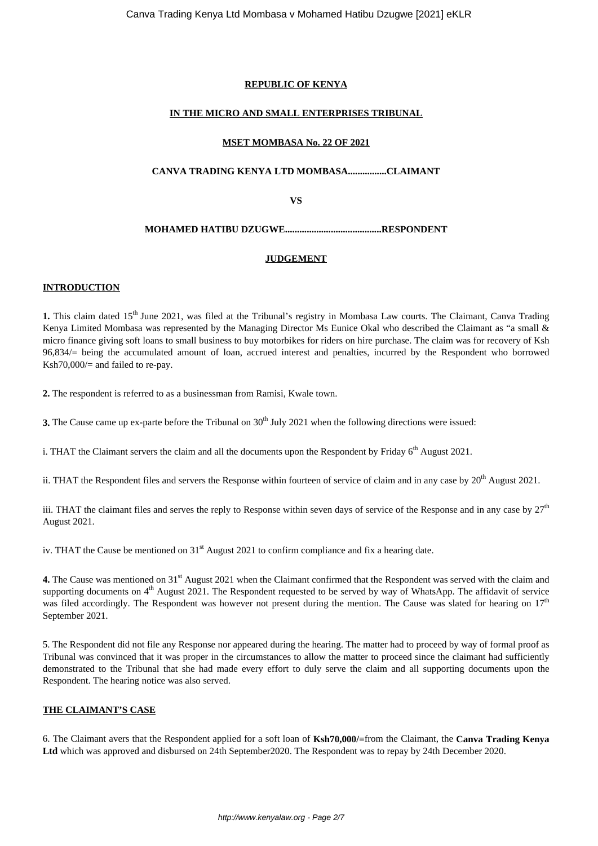## **REPUBLIC OF KENYA**

## **IN THE MICRO AND SMALL ENTERPRISES TRIBUNAL**

## **MSET MOMBASA No. 22 OF 2021**

## **CANVA TRADING KENYA LTD MOMBASA................CLAIMANT**

**VS**

## **MOHAMED HATIBU DZUGWE........................................RESPONDENT**

## **JUDGEMENT**

## **INTRODUCTION**

**1.** This claim dated 15th June 2021, was filed at the Tribunal's registry in Mombasa Law courts. The Claimant, Canva Trading Kenya Limited Mombasa was represented by the Managing Director Ms Eunice Okal who described the Claimant as "a small & micro finance giving soft loans to small business to buy motorbikes for riders on hire purchase. The claim was for recovery of Ksh 96,834/= being the accumulated amount of loan, accrued interest and penalties, incurred by the Respondent who borrowed Ksh70,000/= and failed to re-pay.

**2.** The respondent is referred to as a businessman from Ramisi, Kwale town.

**3.** The Cause came up ex-parte before the Tribunal on 30<sup>th</sup> July 2021 when the following directions were issued:

i. THAT the Claimant servers the claim and all the documents upon the Respondent by Friday  $6<sup>th</sup>$  August 2021.

ii. THAT the Respondent files and servers the Response within fourteen of service of claim and in any case by  $20^{th}$  August 2021.

iii. THAT the claimant files and serves the reply to Response within seven days of service of the Response and in any case by  $27<sup>th</sup>$ August 2021.

iv. THAT the Cause be mentioned on  $31<sup>st</sup>$  August 2021 to confirm compliance and fix a hearing date.

**4.** The Cause was mentioned on 31<sup>st</sup> August 2021 when the Claimant confirmed that the Respondent was served with the claim and supporting documents on  $4<sup>th</sup>$  August 2021. The Respondent requested to be served by way of WhatsApp. The affidavit of service was filed accordingly. The Respondent was however not present during the mention. The Cause was slated for hearing on  $17<sup>th</sup>$ September 2021.

5. The Respondent did not file any Response nor appeared during the hearing. The matter had to proceed by way of formal proof as Tribunal was convinced that it was proper in the circumstances to allow the matter to proceed since the claimant had sufficiently demonstrated to the Tribunal that she had made every effort to duly serve the claim and all supporting documents upon the Respondent. The hearing notice was also served.

## **THE CLAIMANT'S CASE**

6. The Claimant avers that the Respondent applied for a soft loan of **Ksh70,000/=**from the Claimant, the **Canva Trading Kenya Ltd** which was approved and disbursed on 24th September2020. The Respondent was to repay by 24th December 2020.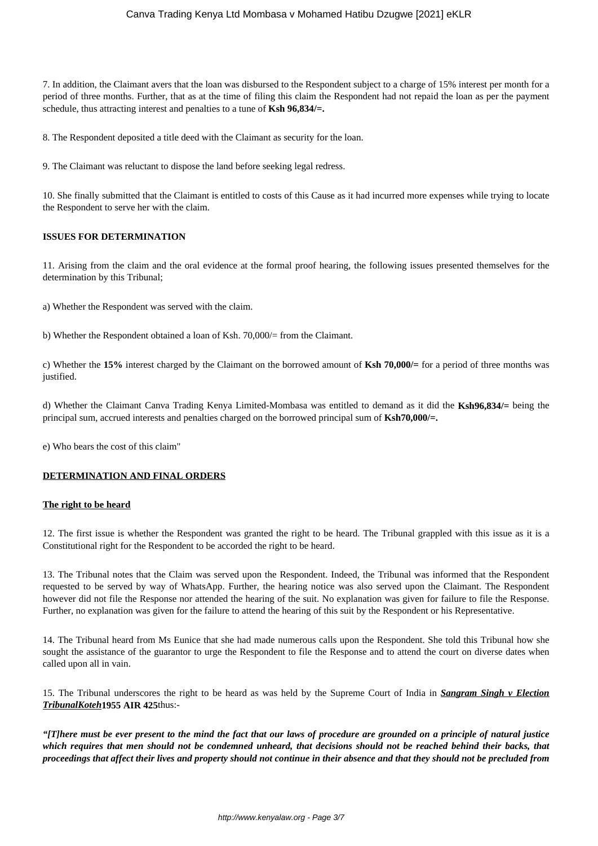## Canva Trading Kenya Ltd Mombasa v Mohamed Hatibu Dzugwe [2021] eKLR

7. In addition, the Claimant avers that the loan was disbursed to the Respondent subject to a charge of 15% interest per month for a period of three months. Further, that as at the time of filing this claim the Respondent had not repaid the loan as per the payment schedule, thus attracting interest and penalties to a tune of **Ksh 96,834/=.**

8. The Respondent deposited a title deed with the Claimant as security for the loan.

9. The Claimant was reluctant to dispose the land before seeking legal redress.

10. She finally submitted that the Claimant is entitled to costs of this Cause as it had incurred more expenses while trying to locate the Respondent to serve her with the claim.

## **ISSUES FOR DETERMINATION**

11. Arising from the claim and the oral evidence at the formal proof hearing, the following issues presented themselves for the determination by this Tribunal;

a) Whether the Respondent was served with the claim.

b) Whether the Respondent obtained a loan of Ksh. 70,000/= from the Claimant.

c) Whether the **15%** interest charged by the Claimant on the borrowed amount of **Ksh 70,000/=** for a period of three months was justified.

d) Whether the Claimant Canva Trading Kenya Limited-Mombasa was entitled to demand as it did the **Ksh96,834/=** being the principal sum, accrued interests and penalties charged on the borrowed principal sum of **Ksh70,000/=.**

e) Who bears the cost of this claim"

## **DETERMINATION AND FINAL ORDERS**

#### **The right to be heard**

12. The first issue is whether the Respondent was granted the right to be heard. The Tribunal grappled with this issue as it is a Constitutional right for the Respondent to be accorded the right to be heard.

13. The Tribunal notes that the Claim was served upon the Respondent. Indeed, the Tribunal was informed that the Respondent requested to be served by way of WhatsApp. Further, the hearing notice was also served upon the Claimant. The Respondent however did not file the Response nor attended the hearing of the suit. No explanation was given for failure to file the Response. Further, no explanation was given for the failure to attend the hearing of this suit by the Respondent or his Representative.

14. The Tribunal heard from Ms Eunice that she had made numerous calls upon the Respondent. She told this Tribunal how she sought the assistance of the guarantor to urge the Respondent to file the Response and to attend the court on diverse dates when called upon all in vain.

15. The Tribunal underscores the right to be heard as was held by the Supreme Court of India in *Sangram Singh v Election TribunalKoteh***1955 AIR 425**thus:-

*"[T]here must be ever present to the mind the fact that our laws of procedure are grounded on a principle of natural justice which requires that men should not be condemned unheard, that decisions should not be reached behind their backs, that proceedings that affect their lives and property should not continue in their absence and that they should not be precluded from*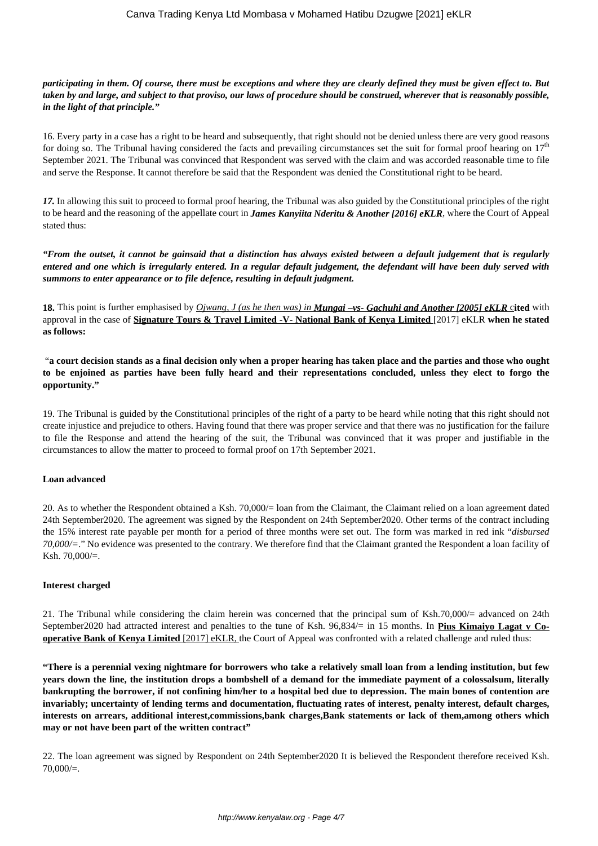## *participating in them. Of course, there must be exceptions and where they are clearly defined they must be given effect to. But taken by and large, and subject to that proviso, our laws of procedure should be construed, wherever that is reasonably possible, in the light of that principle."*

16. Every party in a case has a right to be heard and subsequently, that right should not be denied unless there are very good reasons for doing so. The Tribunal having considered the facts and prevailing circumstances set the suit for formal proof hearing on  $17<sup>th</sup>$ September 2021. The Tribunal was convinced that Respondent was served with the claim and was accorded reasonable time to file and serve the Response. It cannot therefore be said that the Respondent was denied the Constitutional right to be heard.

*17.* In allowing this suit to proceed to formal proof hearing, the Tribunal was also guided by the Constitutional principles of the right to be heard and the reasoning of the appellate court in *James Kanyiita Nderitu & Another [2016] eKLR*, where the Court of Appeal stated thus:

*"From the outset, it cannot be gainsaid that a distinction has always existed between a default judgement that is regularly entered and one which is irregularly entered. In a regular default judgement, the defendant will have been duly served with summons to enter appearance or to file defence, resulting in default judgment.*

**18.** This point is further emphasised by *Ojwang, J (as he then was) in Mungai –vs- Gachuhi and Another [2005] eKLR* c**ited** with approval in the case of **Signature Tours & Travel Limited -V- National Bank of Kenya Limited** [2017] eKLR **when he stated as follows:** 

"**a court decision stands as a final decision only when a proper hearing has taken place and the parties and those who ought to be enjoined as parties have been fully heard and their representations concluded, unless they elect to forgo the opportunity."**

19. The Tribunal is guided by the Constitutional principles of the right of a party to be heard while noting that this right should not create injustice and prejudice to others. Having found that there was proper service and that there was no justification for the failure to file the Response and attend the hearing of the suit, the Tribunal was convinced that it was proper and justifiable in the circumstances to allow the matter to proceed to formal proof on 17th September 2021.

## **Loan advanced**

20. As to whether the Respondent obtained a Ksh. 70,000/= loan from the Claimant, the Claimant relied on a loan agreement dated 24th September2020. The agreement was signed by the Respondent on 24th September2020. Other terms of the contract including the 15% interest rate payable per month for a period of three months were set out. The form was marked in red ink "*disbursed 70,000/=*." No evidence was presented to the contrary. We therefore find that the Claimant granted the Respondent a loan facility of Ksh. 70,000/=.

## **Interest charged**

21. The Tribunal while considering the claim herein was concerned that the principal sum of Ksh.70,000/= advanced on 24th September2020 had attracted interest and penalties to the tune of Ksh. 96,834/= in 15 months. In **Pius Kimaiyo Lagat v Cooperative Bank of Kenya Limited** [2017] eKLR, the Court of Appeal was confronted with a related challenge and ruled thus:

**"There is a perennial vexing nightmare for borrowers who take a relatively small loan from a lending institution, but few years down the line, the institution drops a bombshell of a demand for the immediate payment of a colossalsum, literally bankrupting the borrower, if not confining him/her to a hospital bed due to depression. The main bones of contention are invariably; uncertainty of lending terms and documentation, fluctuating rates of interest, penalty interest, default charges, interests on arrears, additional interest,commissions,bank charges,Bank statements or lack of them,among others which may or not have been part of the written contract"**

22. The loan agreement was signed by Respondent on 24th September2020 It is believed the Respondent therefore received Ksh.  $70,000/=$ .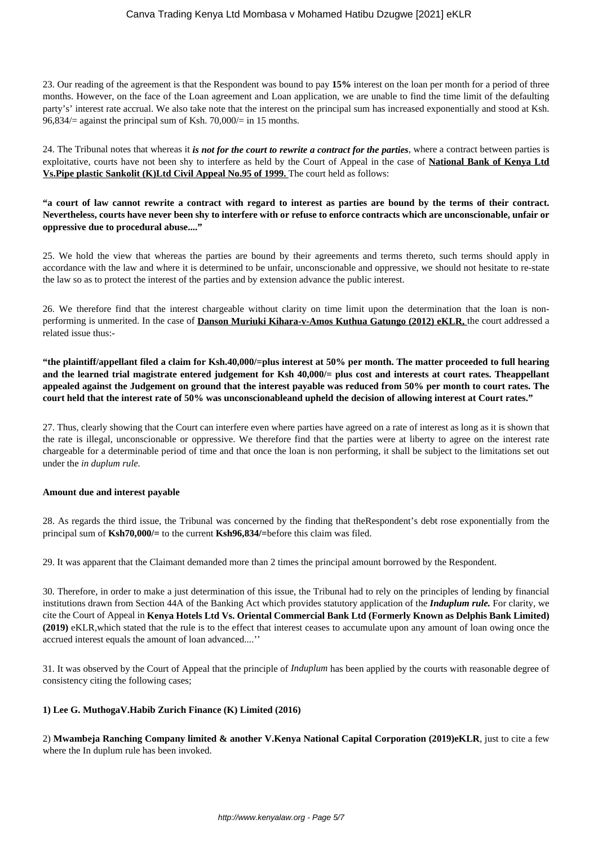23. Our reading of the agreement is that the Respondent was bound to pay **15%** interest on the loan per month for a period of three months. However, on the face of the Loan agreement and Loan application, we are unable to find the time limit of the defaulting party's' interest rate accrual. We also take note that the interest on the principal sum has increased exponentially and stood at Ksh.  $96,834/$  against the principal sum of Ksh. 70,000/ = in 15 months.

24. The Tribunal notes that whereas it *is not for the court to rewrite a contract for the parties*, where a contract between parties is exploitative, courts have not been shy to interfere as held by the Court of Appeal in the case of **National Bank of Kenya Ltd Vs.Pipe plastic Sankolit (K)Ltd Civil Appeal No.95 of 1999.** The court held as follows:

**"a court of law cannot rewrite a contract with regard to interest as parties are bound by the terms of their contract. Nevertheless, courts have never been shy to interfere with or refuse to enforce contracts which are unconscionable, unfair or oppressive due to procedural abuse...."**

25. We hold the view that whereas the parties are bound by their agreements and terms thereto, such terms should apply in accordance with the law and where it is determined to be unfair, unconscionable and oppressive, we should not hesitate to re-state the law so as to protect the interest of the parties and by extension advance the public interest.

26. We therefore find that the interest chargeable without clarity on time limit upon the determination that the loan is nonperforming is unmerited. In the case of **Danson Muriuki Kihara-v-Amos Kuthua Gatungo (2012) eKLR,** the court addressed a related issue thus:-

**"the plaintiff/appellant filed a claim for Ksh.40,000/=plus interest at 50% per month. The matter proceeded to full hearing and the learned trial magistrate entered judgement for Ksh 40,000/= plus cost and interests at court rates. Theappellant appealed against the Judgement on ground that the interest payable was reduced from 50% per month to court rates. The court held that the interest rate of 50% was unconscionableand upheld the decision of allowing interest at Court rates."**

27. Thus, clearly showing that the Court can interfere even where parties have agreed on a rate of interest as long as it is shown that the rate is illegal, unconscionable or oppressive. We therefore find that the parties were at liberty to agree on the interest rate chargeable for a determinable period of time and that once the loan is non performing, it shall be subject to the limitations set out under the *in duplum rule.* 

## **Amount due and interest payable**

28. As regards the third issue, the Tribunal was concerned by the finding that theRespondent's debt rose exponentially from the principal sum of **Ksh70,000/=** to the current **Ksh96,834/=**before this claim was filed.

29. It was apparent that the Claimant demanded more than 2 times the principal amount borrowed by the Respondent.

30. Therefore, in order to make a just determination of this issue, the Tribunal had to rely on the principles of lending by financial institutions drawn from Section 44A of the Banking Act which provides statutory application of the *Induplum rule.* For clarity, we cite the Court of Appeal in **Kenya Hotels Ltd Vs. Oriental Commercial Bank Ltd (Formerly Known as Delphis Bank Limited) (2019)** eKLR,which stated that the rule is to the effect that interest ceases to accumulate upon any amount of loan owing once the accrued interest equals the amount of loan advanced....''

31. It was observed by the Court of Appeal that the principle of *Induplum* has been applied by the courts with reasonable degree of consistency citing the following cases;

## **1) Lee G. MuthogaV.Habib Zurich Finance (K) Limited (2016)**

2) **Mwambeja Ranching Company limited & another V.Kenya National Capital Corporation (2019)eKLR**, just to cite a few where the In duplum rule has been invoked.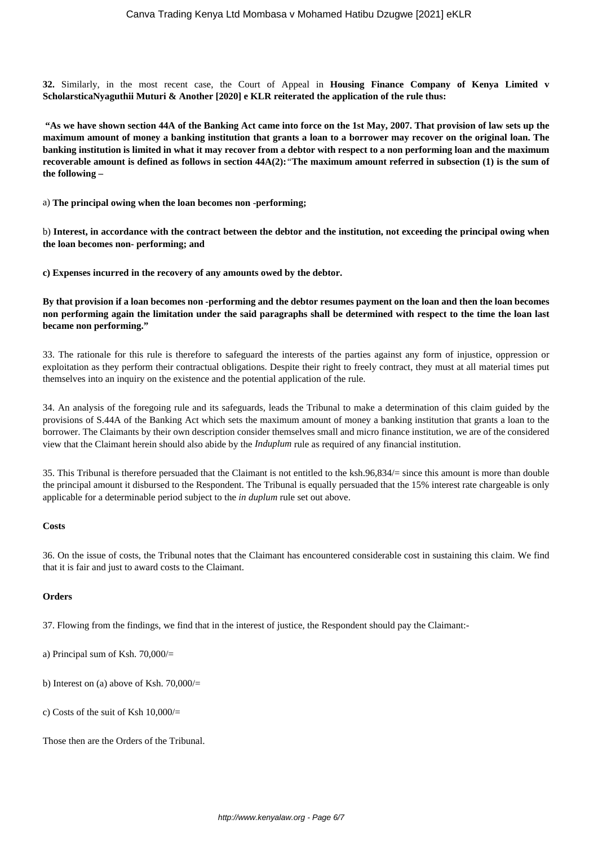**32.** Similarly, in the most recent case, the Court of Appeal in **Housing Finance Company of Kenya Limited v ScholarsticaNyaguthii Muturi & Another [2020] e KLR reiterated the application of the rule thus:** 

**"As we have shown section 44A of the Banking Act came into force on the 1st May, 2007. That provision of law sets up the maximum amount of money a banking institution that grants a loan to a borrower may recover on the original loan. The banking institution is limited in what it may recover from a debtor with respect to a non performing loan and the maximum recoverable amount is defined as follows in section 44A(2):***"***The maximum amount referred in subsection (1) is the sum of the following –**

a) **The principal owing when the loan becomes non -performing;**

b) **Interest, in accordance with the contract between the debtor and the institution, not exceeding the principal owing when the loan becomes non- performing; and**

**c) Expenses incurred in the recovery of any amounts owed by the debtor.**

**By that provision if a loan becomes non -performing and the debtor resumes payment on the loan and then the loan becomes non performing again the limitation under the said paragraphs shall be determined with respect to the time the loan last became non performing."**

33. The rationale for this rule is therefore to safeguard the interests of the parties against any form of injustice, oppression or exploitation as they perform their contractual obligations. Despite their right to freely contract, they must at all material times put themselves into an inquiry on the existence and the potential application of the rule.

34. An analysis of the foregoing rule and its safeguards, leads the Tribunal to make a determination of this claim guided by the provisions of S.44A of the Banking Act which sets the maximum amount of money a banking institution that grants a loan to the borrower. The Claimants by their own description consider themselves small and micro finance institution, we are of the considered view that the Claimant herein should also abide by the *Induplum* rule as required of any financial institution.

35. This Tribunal is therefore persuaded that the Claimant is not entitled to the ksh.96,834/= since this amount is more than double the principal amount it disbursed to the Respondent. The Tribunal is equally persuaded that the 15% interest rate chargeable is only applicable for a determinable period subject to the *in duplum* rule set out above.

#### **Costs**

36. On the issue of costs, the Tribunal notes that the Claimant has encountered considerable cost in sustaining this claim. We find that it is fair and just to award costs to the Claimant.

#### **Orders**

37. Flowing from the findings, we find that in the interest of justice, the Respondent should pay the Claimant:-

- a) Principal sum of Ksh. 70,000/=
- b) Interest on (a) above of Ksh.  $70,000/$ =
- c) Costs of the suit of Ksh 10,000/=

Those then are the Orders of the Tribunal.